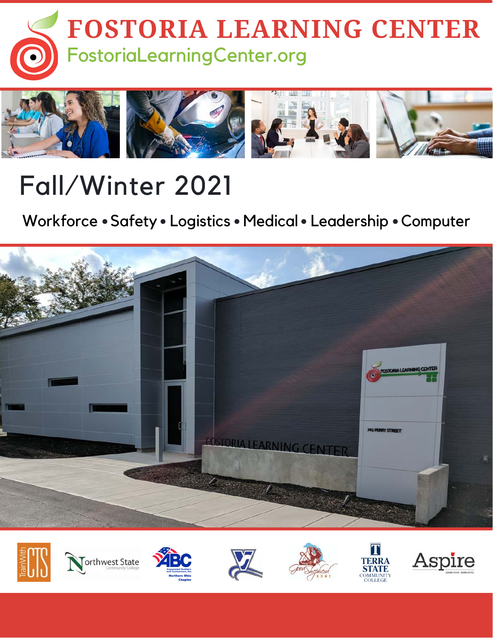



# Fall/Winter 2021

Workforce • Safety • Logistics • Medical • Leadership • Computer



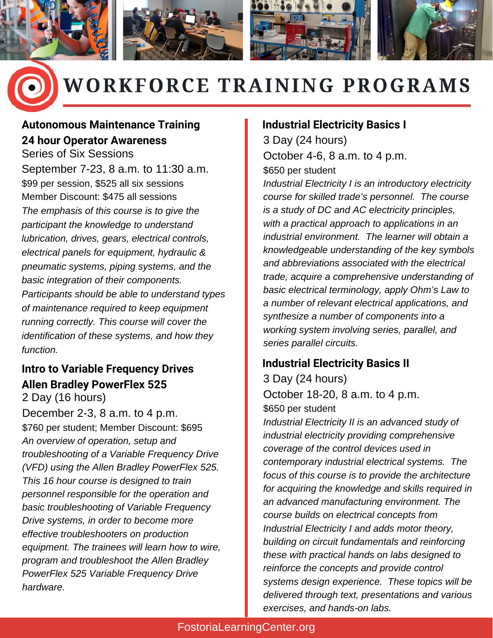



## WORKFORCE TRAINING PROGRAMS

#### **Autonomous Maintenance Training 24 hour Operator Awareness**

Series of Six Sessions September 7-23, 8 a.m. to 11:30 a.m. \$99 per session, \$525 all six sessions Member Discount: \$475 all sessions *The emphasis of this course is to give the participant the knowledge to understand lubrication, drives, gears, electrical controls, electrical panels for equipment, hydraulic & pneumatic systems, piping systems, and the basic integration of their components. Participants should be able to understand types of maintenance required to keep equipment running correctly. This course will cover the identification of these systems, and how they function.*

#### **Intro to Variable Frequency Drives Allen Bradley PowerFlex 525** 2 Day (16 hours)

December 2-3, 8 a.m. to 4 p.m. \$760 per student; Member Discount: \$695 *An overview of operation, setup and troubleshooting of a Variable Frequency Drive (VFD) using the Allen Bradley PowerFlex 525. This 16 hour course is designed to train personnel responsible for the operation and basic troubleshooting of Variable Frequency Drive systems, in order to become more effective troubleshooters on production equipment. The trainees will learn how to wire, program and troubleshoot the Allen Bradley PowerFlex 525 Variable Frequency Drive hardware.*

#### **Industrial Electricity Basics I**

3 Day (24 hours) October 4-6, 8 a.m. to 4 p.m. \$650 per student

*Industrial Electricity I is an introductory electricity course for skilled trade's personnel. The course is a study of DC and AC electricity principles, with a practical approach to applications in an industrial environment. The learner will obtain a knowledgeable understanding of the key symbols and abbreviations associated with the electrical trade, acquire a comprehensive understanding of basic electrical terminology, apply Ohm's Law to a number of relevant electrical applications, and synthesize a number of components into a working system involving series, parallel, and series parallel circuits.*

### **Industrial Electricity Basics II**

3 Day (24 hours) October 18-20, 8 a.m. to 4 p.m. \$650 per student

*Industrial Electricity II is an advanced study of industrial electricity providing comprehensive coverage of the control devices used in contemporary industrial electrical systems. The focus of this course is to provide the architecture for acquiring the knowledge and skills required in an advanced manufacturing environment. The course builds on electrical concepts from Industrial Electricity I and adds motor theory, building on circuit fundamentals and reinforcing these with practical hands on labs designed to reinforce the concepts and provide control systems design experience. These topics will be delivered through text, presentations and various exercises, and hands-on labs.*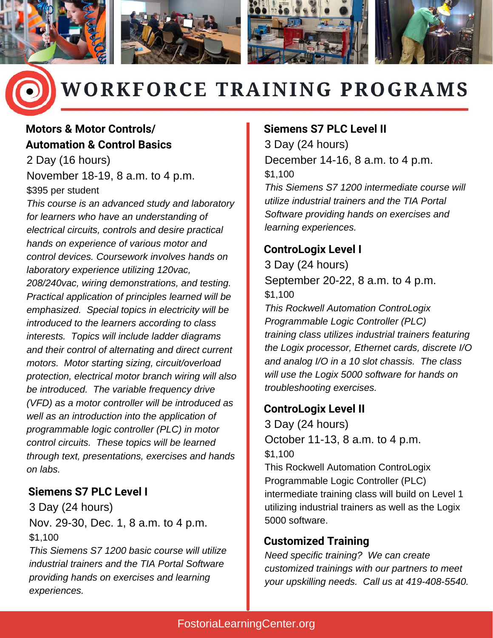



## **WORKFORCE TRAINING PROGRAMS**

### **Motors & Motor Controls/ Automation & Control Basics**

2 Day (16 hours) November 18-19, 8 a.m. to 4 p.m. \$395 per student

*This course is an advanced study and laboratory for learners who have an understanding of electrical circuits, controls and desire practical hands on experience of various motor and control devices. Coursework involves hands on laboratory experience utilizing 120vac, 208/240vac, wiring demonstrations, and testing. Practical application of principles learned will be emphasized. Special topics in electricity will be introduced to the learners according to class interests. Topics will include ladder diagrams and their control of alternating and direct current motors. Motor starting sizing, circuit/overload protection, electrical motor branch wiring will also be introduced. The variable frequency drive (VFD) as a motor controller will be introduced as well as an introduction into the application of programmable logic controller (PLC) in motor control circuits. These topics will be learned through text, presentations, exercises and hands on labs.*

#### **Siemens S7 PLC Level I**

3 Day (24 hours) Nov. 29-30, Dec. 1, 8 a.m. to 4 p.m. \$1,100

*This Siemens S7 1200 basic course will utilize industrial trainers and the TIA Portal Software providing hands on exercises and learning experiences.*

#### **Siemens S7 PLC Level II**

3 Day (24 hours) December 14-16, 8 a.m. to 4 p.m. \$1,100

*This Siemens S7 1200 intermediate course will utilize industrial trainers and the TIA Portal Software providing hands on exercises and learning experiences.*

#### **ControLogix Level I**

3 Day (24 hours) September 20-22, 8 a.m. to 4 p.m. \$1,100

*This Rockwell Automation ControLogix Programmable Logic Controller (PLC) training class utilizes industrial trainers featuring the Logix processor, Ethernet cards, discrete I/O and analog I/O in a 10 slot chassis. The class will use the Logix 5000 software for hands on troubleshooting exercises.*

#### **ControLogix Level II**

3 Day (24 hours) October 11-13, 8 a.m. to 4 p.m. \$1,100 This Rockwell Automation ControLogix Programmable Logic Controller (PLC) intermediate training class will build on Level 1 utilizing industrial trainers as well as the Logix 5000 software.

#### **Customized Training**

*Need specific training? We can create customized trainings with our partners to meet your upskilling needs. Call us at 419-408-5540.*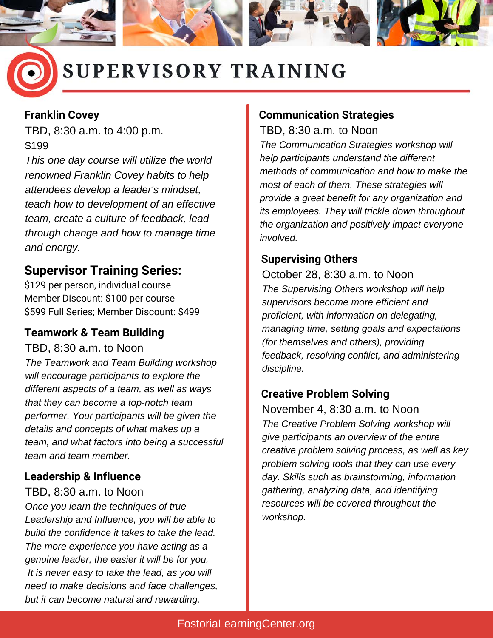

### SUPERVISORY TRAINING

#### **Franklin Covey**

TBD, 8:30 a.m. to 4:00 p.m. \$199

*This one day course will utilize the world renowned Franklin Covey habits to help attendees develop a leader's mindset, teach how to development of an effective team, create a culture of feedback, lead through change and how to manage time and energy.*

#### **Supervisor Training Series:**

\$129 per person, individual course Member Discount: \$100 per course \$599 Full Series; Member Discount: \$499

#### **Teamwork & Team Building**

TBD, 8:30 a.m. to Noon

*The Teamwork and Team Building workshop will encourage participants to explore the different aspects of a team, as well as ways that they can become a top-notch team performer. Your participants will be given the details and concepts of what makes up a team, and what factors into being a successful team and team member.*

#### **Leadership & Influence**

TBD, 8:30 a.m. to Noon

*Once you learn the techniques of true Leadership and Influence, you will be able to build the confidence it takes to take the lead. The more experience you have acting as a genuine leader, the easier it will be for you. It is never easy to take the lead, as you will need to make decisions and face challenges, but it can become natural and rewarding.*

#### **Communication Strategies**

TBD, 8:30 a.m. to Noon *The Communication Strategies workshop will help participants understand the different methods of communication and how to make the most of each of them. These strategies will provide a great benefit for any organization and its employees. They will trickle down throughout the organization and positively impact everyone involved.*

#### **Supervising Others**

October 28, 8:30 a.m. to Noon *The Supervising Others workshop will help supervisors become more efficient and proficient, with information on delegating, managing time, setting goals and expectations (for themselves and others), providing feedback, resolving conflict, and administering discipline.*

#### **Creative Problem Solving**

November 4, 8:30 a.m. to Noon *The Creative Problem Solving workshop will give participants an overview of the entire creative problem solving process, as well as key problem solving tools that they can use every day. Skills such as brainstorming, information gathering, analyzing data, and identifying resources will be covered throughout the workshop.*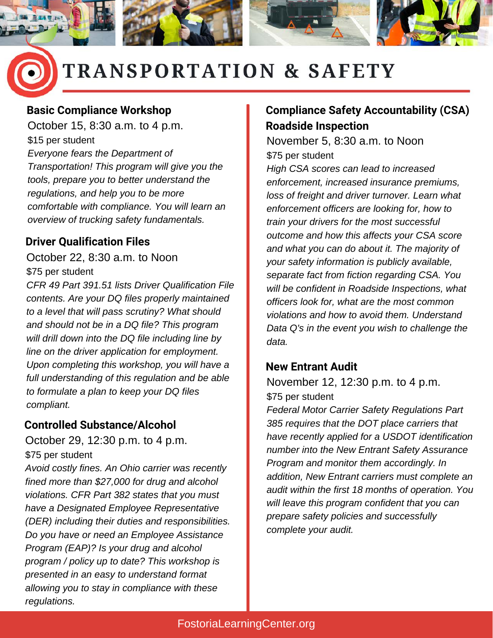

### **TRANSPORTATION & SAFETY**

#### **Basic Compliance Workshop**

October 15, 8:30 a.m. to 4 p.m. \$15 per student *Everyone fears the Department of Transportation! This program will give you the tools, prepare you to better understand the regulations, and help you to be more comfortable with compliance. You will learn an overview of trucking safety fundamentals.*

#### **Driver Qualification Files**

October 22, 8:30 a.m. to Noon \$75 per student

*CFR 49 Part 391.51 lists Driver Qualification File contents. Are your DQ files properly maintained to a level that will pass scrutiny? What should and should not be in a DQ file? This program will drill down into the DQ file including line by line on the driver application for employment. Upon completing this workshop, you will have a full understanding of this regulation and be able to formulate a plan to keep your DQ files compliant.*

#### **Controlled Substance/Alcohol**

October 29, 12:30 p.m. to 4 p.m. \$75 per student

*Avoid costly fines. An Ohio carrier was recently fined more than \$27,000 for drug and alcohol violations. CFR Part 382 states that you must have a Designated Employee Representative (DER) including their duties and responsibilities. Do you have or need an Employee Assistance Program (EAP)? Is your drug and alcohol program / policy up to date? This workshop is presented in an easy to understand format allowing you to stay in compliance with these regulations.*

#### **Compliance Safety Accountability (CSA) Roadside Inspection**

November 5, 8:30 a.m. to Noon \$75 per student *High CSA scores can lead to increased enforcement, increased insurance premiums, loss of freight and driver turnover. Learn what enforcement officers are looking for, how to train your drivers for the most successful outcome and how this affects your CSA score and what you can do about it. The majority of your safety information is publicly available, separate fact from fiction regarding CSA. You will be confident in Roadside Inspections, what officers look for, what are the most common violations and how to avoid them. Understand Data Q's in the event you wish to challenge the data.*

#### **New Entrant Audit**

November 12, 12:30 p.m. to 4 p.m. \$75 per student

*Federal Motor Carrier Safety Regulations Part 385 requires that the DOT place carriers that have recently applied for a USDOT identification number into the New Entrant Safety Assurance Program and monitor them accordingly. In addition, New Entrant carriers must complete an audit within the first 18 months of operation. You will leave this program confident that you can prepare safety policies and successfully complete your audit.*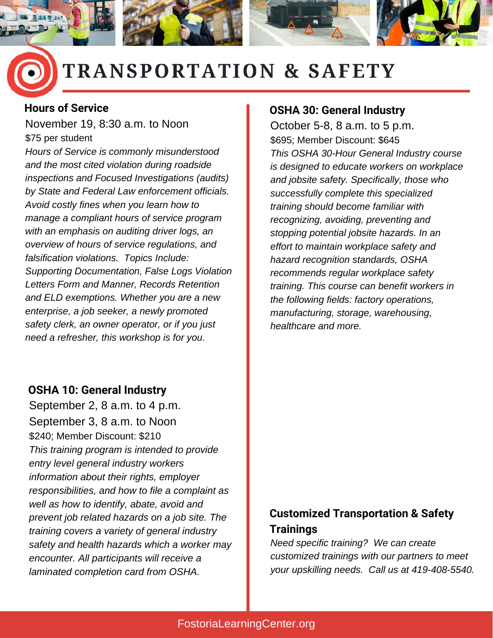

## **TRANSPORTATION & SAFETY**

#### **Hours of Service**

November 19, 8:30 a.m. to Noon \$75 per student

*Hours of Service is commonly misunderstood and the most cited violation during roadside inspections and Focused Investigations (audits) by State and Federal Law enforcement officials. Avoid costly fines when you learn how to manage a compliant hours of service program with an emphasis on auditing driver logs, an overview of hours of service regulations, and falsification violations. Topics Include: Supporting Documentation, False Logs Violation Letters Form and Manner, Records Retention and ELD exemptions. Whether you are a new enterprise, a job seeker, a newly promoted safety clerk, an owner operator, or if you just need a refresher, this workshop is for you.*

#### **OSHA 10: General Industry**

September 2, 8 a.m. to 4 p.m. September 3, 8 a.m. to Noon \$240; Member Discount: \$210 *This training program is intended to provide entry level general industry workers information about their rights, employer responsibilities, and how to file a complaint as well as how to identify, abate, avoid and prevent job related hazards on a job site. The training covers a variety of general industry safety and health hazards which a worker may encounter. All participants will receive a laminated completion card from OSHA.*

#### **OSHA 30: General Industry**

October 5-8, 8 a.m. to 5 p.m. \$695; Member Discount: \$645 *This OSHA 30-Hour General Industry course is designed to educate workers on workplace and jobsite safety. Specifically, those who successfully complete this specialized training should become familiar with recognizing, avoiding, preventing and stopping potential jobsite hazards. In an effort to maintain workplace safety and hazard recognition standards, OSHA recommends regular workplace safety training. This course can benefit workers in the following fields: factory operations, manufacturing, storage, warehousing, healthcare and more.*

#### **Customized Transportation & Safety Trainings**

*Need specific training? We can create customized trainings with our partners to meet your upskilling needs. Call us at 419-408-5540.*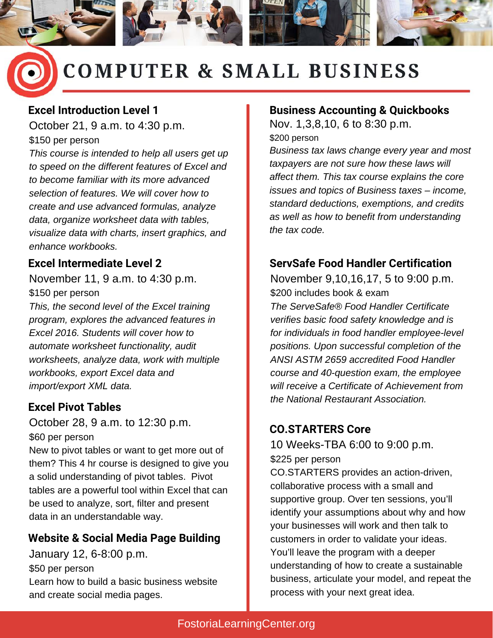

## **COMPUTER & SMALL BUSINESS**

#### **Excel Introduction Level 1**

October 21, 9 a.m. to 4:30 p.m. \$150 per person

*This course is intended to help all users get up to speed on the different features of Excel and to become familiar with its more advanced selection of features. We will cover how to create and use advanced formulas, analyze data, organize worksheet data with tables, visualize data with charts, insert graphics, and enhance workbooks.*

#### **Excel Intermediate Level 2**

November 11, 9 a.m. to 4:30 p.m. \$150 per person *This, the second level of the Excel training program, explores the advanced features in Excel 2016. Students will cover how to automate worksheet functionality, audit worksheets, analyze data, work with multiple workbooks, export Excel data and import/export XML data.*

October 28, 9 a.m. to 12:30 p.m. \$60 per person

New to pivot tables or want to get more out of them? This 4 hr course is designed to give you a solid understanding of pivot tables. Pivot tables are a powerful tool within Excel that can be used to analyze, sort, filter and present data in an understandable way.

#### **Website & Social Media Page Building**

January 12, 6-8:00 p.m. \$50 per person Learn how to build a basic business website and create social media pages.

#### **Business Accounting & Quickbooks**

Nov. 1,3,8,10, 6 to 8:30 p.m. \$200 person

*Business tax laws change every year and most taxpayers are not sure how these laws will affect them. This tax course explains the core issues and topics of Business taxes – income, standard deductions, exemptions, and credits as well as how to benefit from understanding the tax code.*

#### **ServSafe Food Handler Certification**

November 9,10,16,17, 5 to 9:00 p.m. \$200 includes book & exam *The ServeSafe® Food Handler Certificate verifies basic food safety knowledge and is for individuals in food handler employee-level positions. Upon successful completion of the ANSI ASTM 2659 accredited Food Handler course and 40-question exam, the employee will receive a Certificate of Achievement from the National Restaurant Association.* **Excel Pivot Tables**

#### **CO.STARTERS Core**

10 Weeks-TBA 6:00 to 9:00 p.m. \$225 per person

CO.STARTERS provides an action-driven, collaborative process with a small and supportive group. Over ten sessions, you'll identify your assumptions about why and how your businesses will work and then talk to customers in order to validate your ideas. You'll leave the program with a deeper understanding of how to create a sustainable business, articulate your model, and repeat the process with your next great idea.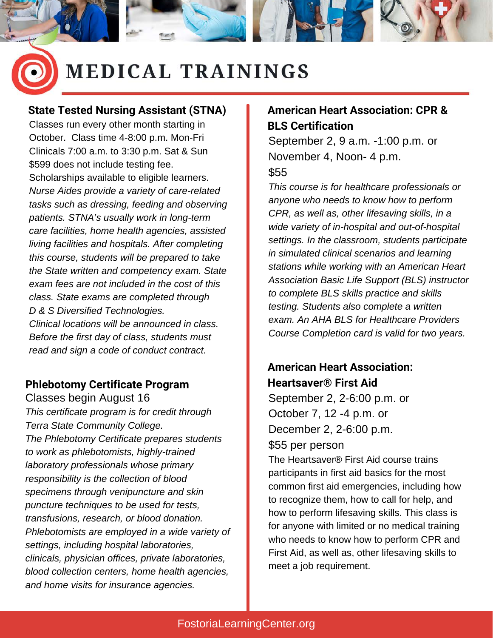

### **MEDICAL TRAININGS**

#### **State Tested Nursing Assistant (STNA)**

Classes run every other month starting in October. Class time 4-8:00 p.m. Mon-Fri Clinicals 7:00 a.m. to 3:30 p.m. Sat & Sun \$599 does not include testing fee. Scholarships available to eligible learners. *Nurse Aides provide a variety of care-related tasks such as dressing, feeding and observing patients. STNA's usually work in long-term care facilities, home health agencies, assisted living facilities and hospitals. After completing this course, students will be prepared to take the State written and competency exam. State exam fees are not included in the cost of this class. State exams are completed through D & S Diversified Technologies. Clinical locations will be announced in class. Before the first day of class, students must read and sign a code of conduct contract.*

#### **Phlebotomy Certificate Program**

Classes begin August 16 *This certificate program is for credit through Terra State Community College. The Phlebotomy Certificate prepares students to work as phlebotomists, highly-trained laboratory professionals whose primary responsibility is the collection of blood specimens through venipuncture and skin puncture techniques to be used for tests, transfusions, research, or blood donation. Phlebotomists are employed in a wide variety of settings, including hospital laboratories, clinicals, physician offices, private laboratories, blood collection centers, home health agencies, and home visits for insurance agencies.*

#### **American Heart Association: CPR & BLS Certification**

September 2, 9 a.m. -1:00 p.m. or November 4, Noon- 4 p.m. \$55

*This course is for healthcare professionals or anyone who needs to know how to perform CPR, as well as, other lifesaving skills, in a wide variety of in-hospital and out-of-hospital settings. In the classroom, students participate in simulated clinical scenarios and learning stations while working with an American Heart Association Basic Life Support (BLS) instructor to complete BLS skills practice and skills testing. Students also complete a written exam. An AHA BLS for Healthcare Providers Course Completion card is valid for two years.*

#### **American Heart Association: Heartsaver® First Aid**

September 2, 2-6:00 p.m. or October 7, 12 -4 p.m. or December 2, 2-6:00 p.m. \$55 per person

The Heartsaver® First Aid course trains participants in first aid basics for the most common first aid emergencies, including how to recognize them, how to call for help, and how to perform lifesaving skills. This class is for anyone with limited or no medical training who needs to know how to perform CPR and First Aid, as well as, other lifesaving skills to meet a job requirement.